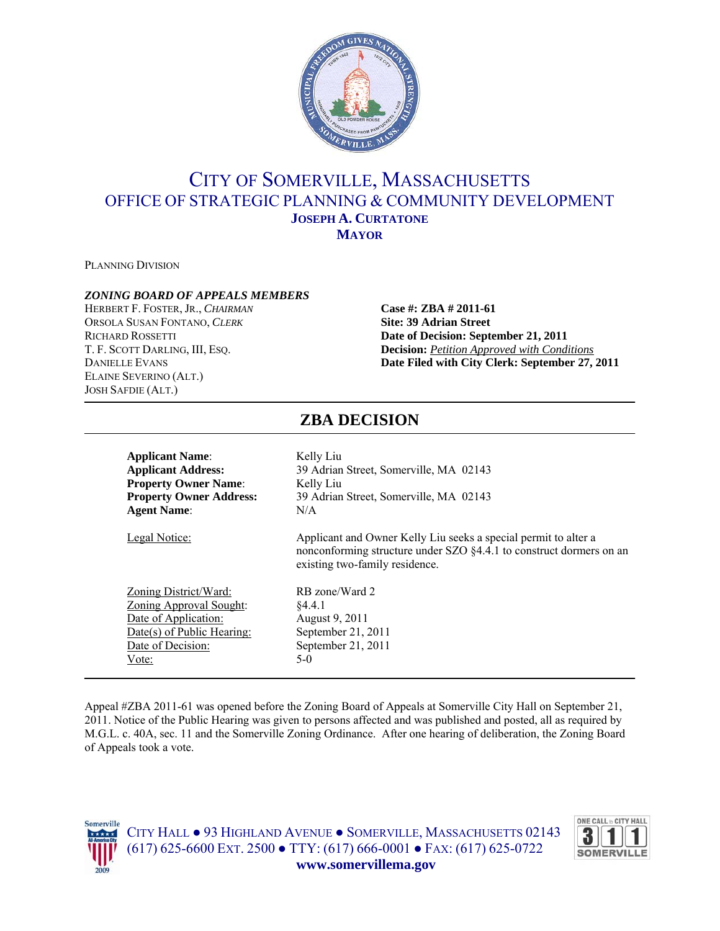

# CITY OF SOMERVILLE, MASSACHUSETTS OFFICE OF STRATEGIC PLANNING & COMMUNITY DEVELOPMENT **JOSEPH A. CURTATONE MAYOR**

PLANNING DIVISION

### *ZONING BOARD OF APPEALS MEMBERS*

HERBERT F. FOSTER, JR., *CHAIRMAN* **Case #: ZBA # 2011-61** ORSOLA SUSAN FONTANO, *CLERK* **Site: 39 Adrian Street** ELAINE SEVERINO (ALT.) JOSH SAFDIE (ALT.)

RICHARD ROSSETTI **Date of Decision: September 21, 2011** T. F. SCOTT DARLING, III, ESQ. **Decision:** *Petition Approved with Conditions* DANIELLE EVANS **Date Filed with City Clerk: September 27, 2011**

# **ZBA DECISION**

| <b>Applicant Name:</b>         | Kelly Liu                                                                                                                                                                |
|--------------------------------|--------------------------------------------------------------------------------------------------------------------------------------------------------------------------|
| <b>Applicant Address:</b>      | 39 Adrian Street, Somerville, MA 02143                                                                                                                                   |
| <b>Property Owner Name:</b>    | Kelly Liu                                                                                                                                                                |
| <b>Property Owner Address:</b> | 39 Adrian Street, Somerville, MA 02143                                                                                                                                   |
| <b>Agent Name:</b>             | N/A                                                                                                                                                                      |
| Legal Notice:                  | Applicant and Owner Kelly Liu seeks a special permit to alter a<br>nonconforming structure under SZO §4.4.1 to construct dormers on an<br>existing two-family residence. |
| Zoning District/Ward:          | RB zone/Ward 2                                                                                                                                                           |
| Zoning Approval Sought:        | \$4.4.1                                                                                                                                                                  |
| Date of Application:           | August 9, 2011                                                                                                                                                           |
| Date(s) of Public Hearing:     | September 21, $2011$                                                                                                                                                     |
| Date of Decision:              | September 21, 2011                                                                                                                                                       |
| Vote:                          | $5-0$                                                                                                                                                                    |

Appeal #ZBA 2011-61 was opened before the Zoning Board of Appeals at Somerville City Hall on September 21, 2011. Notice of the Public Hearing was given to persons affected and was published and posted, all as required by M.G.L. c. 40A, sec. 11 and the Somerville Zoning Ordinance. After one hearing of deliberation, the Zoning Board of Appeals took a vote.



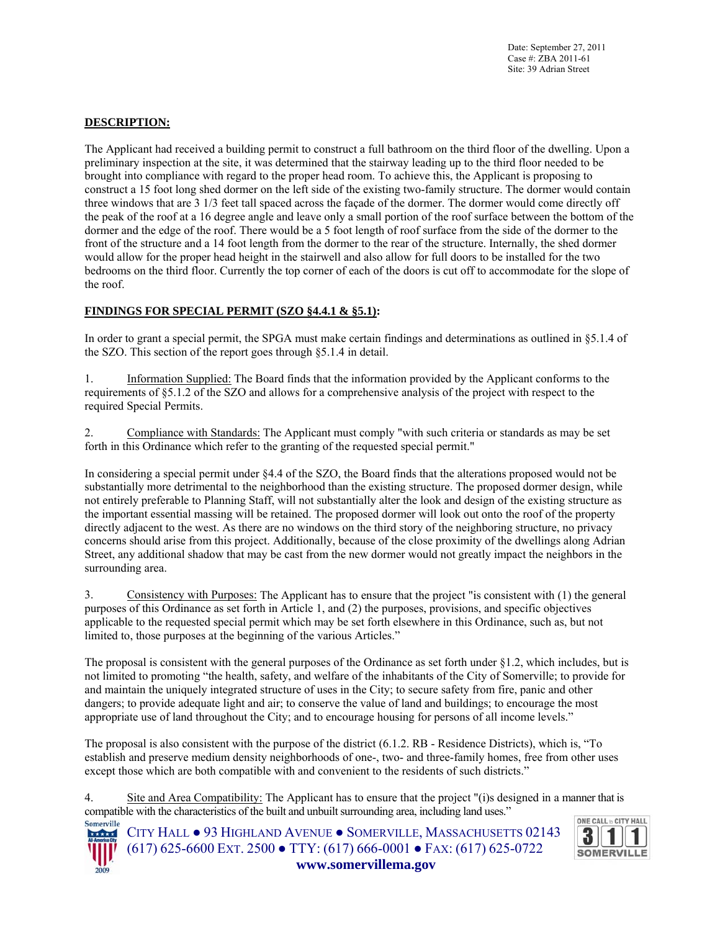Date: September 27, 2011 Case #: ZBA 2011-61 Site: 39 Adrian Street

### **DESCRIPTION:**

The Applicant had received a building permit to construct a full bathroom on the third floor of the dwelling. Upon a preliminary inspection at the site, it was determined that the stairway leading up to the third floor needed to be brought into compliance with regard to the proper head room. To achieve this, the Applicant is proposing to construct a 15 foot long shed dormer on the left side of the existing two-family structure. The dormer would contain three windows that are 3 1/3 feet tall spaced across the façade of the dormer. The dormer would come directly off the peak of the roof at a 16 degree angle and leave only a small portion of the roof surface between the bottom of the dormer and the edge of the roof. There would be a 5 foot length of roof surface from the side of the dormer to the front of the structure and a 14 foot length from the dormer to the rear of the structure. Internally, the shed dormer would allow for the proper head height in the stairwell and also allow for full doors to be installed for the two bedrooms on the third floor. Currently the top corner of each of the doors is cut off to accommodate for the slope of the roof.

#### **FINDINGS FOR SPECIAL PERMIT (SZO §4.4.1 & §5.1):**

In order to grant a special permit, the SPGA must make certain findings and determinations as outlined in §5.1.4 of the SZO. This section of the report goes through §5.1.4 in detail.

1. Information Supplied: The Board finds that the information provided by the Applicant conforms to the requirements of §5.1.2 of the SZO and allows for a comprehensive analysis of the project with respect to the required Special Permits.

2. Compliance with Standards: The Applicant must comply "with such criteria or standards as may be set forth in this Ordinance which refer to the granting of the requested special permit."

In considering a special permit under §4.4 of the SZO, the Board finds that the alterations proposed would not be substantially more detrimental to the neighborhood than the existing structure. The proposed dormer design, while not entirely preferable to Planning Staff, will not substantially alter the look and design of the existing structure as the important essential massing will be retained. The proposed dormer will look out onto the roof of the property directly adjacent to the west. As there are no windows on the third story of the neighboring structure, no privacy concerns should arise from this project. Additionally, because of the close proximity of the dwellings along Adrian Street, any additional shadow that may be cast from the new dormer would not greatly impact the neighbors in the surrounding area.

3. Consistency with Purposes: The Applicant has to ensure that the project "is consistent with (1) the general purposes of this Ordinance as set forth in Article 1, and (2) the purposes, provisions, and specific objectives applicable to the requested special permit which may be set forth elsewhere in this Ordinance, such as, but not limited to, those purposes at the beginning of the various Articles."

The proposal is consistent with the general purposes of the Ordinance as set forth under §1.2, which includes, but is not limited to promoting "the health, safety, and welfare of the inhabitants of the City of Somerville; to provide for and maintain the uniquely integrated structure of uses in the City; to secure safety from fire, panic and other dangers; to provide adequate light and air; to conserve the value of land and buildings; to encourage the most appropriate use of land throughout the City; and to encourage housing for persons of all income levels."

The proposal is also consistent with the purpose of the district (6.1.2. RB - Residence Districts), which is, "To establish and preserve medium density neighborhoods of one-, two- and three-family homes, free from other uses except those which are both compatible with and convenient to the residents of such districts."

4. Site and Area Compatibility: The Applicant has to ensure that the project "(i)s designed in a manner that is compatible with the characteristics of the built and unbuilt surrounding area, including land uses."



Somerville

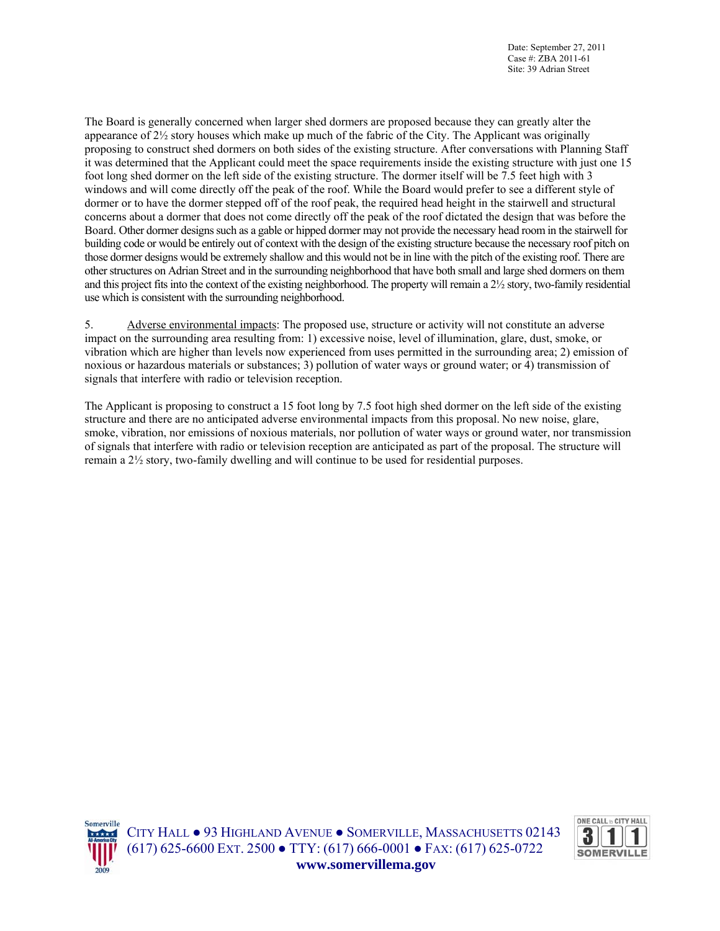Date: September 27, 2011 Case #: ZBA 2011-61 Site: 39 Adrian Street

The Board is generally concerned when larger shed dormers are proposed because they can greatly alter the appearance of 2½ story houses which make up much of the fabric of the City. The Applicant was originally proposing to construct shed dormers on both sides of the existing structure. After conversations with Planning Staff it was determined that the Applicant could meet the space requirements inside the existing structure with just one 15 foot long shed dormer on the left side of the existing structure. The dormer itself will be 7.5 feet high with 3 windows and will come directly off the peak of the roof. While the Board would prefer to see a different style of dormer or to have the dormer stepped off of the roof peak, the required head height in the stairwell and structural concerns about a dormer that does not come directly off the peak of the roof dictated the design that was before the Board. Other dormer designs such as a gable or hipped dormer may not provide the necessary head room in the stairwell for building code or would be entirely out of context with the design of the existing structure because the necessary roof pitch on those dormer designs would be extremely shallow and this would not be in line with the pitch of the existing roof. There are other structures on Adrian Street and in the surrounding neighborhood that have both small and large shed dormers on them and this project fits into the context of the existing neighborhood. The property will remain a 2½ story, two-family residential use which is consistent with the surrounding neighborhood.

5. Adverse environmental impacts: The proposed use, structure or activity will not constitute an adverse impact on the surrounding area resulting from: 1) excessive noise, level of illumination, glare, dust, smoke, or vibration which are higher than levels now experienced from uses permitted in the surrounding area; 2) emission of noxious or hazardous materials or substances; 3) pollution of water ways or ground water; or 4) transmission of signals that interfere with radio or television reception.

The Applicant is proposing to construct a 15 foot long by 7.5 foot high shed dormer on the left side of the existing structure and there are no anticipated adverse environmental impacts from this proposal. No new noise, glare, smoke, vibration, nor emissions of noxious materials, nor pollution of water ways or ground water, nor transmission of signals that interfere with radio or television reception are anticipated as part of the proposal. The structure will remain a 2½ story, two-family dwelling and will continue to be used for residential purposes.



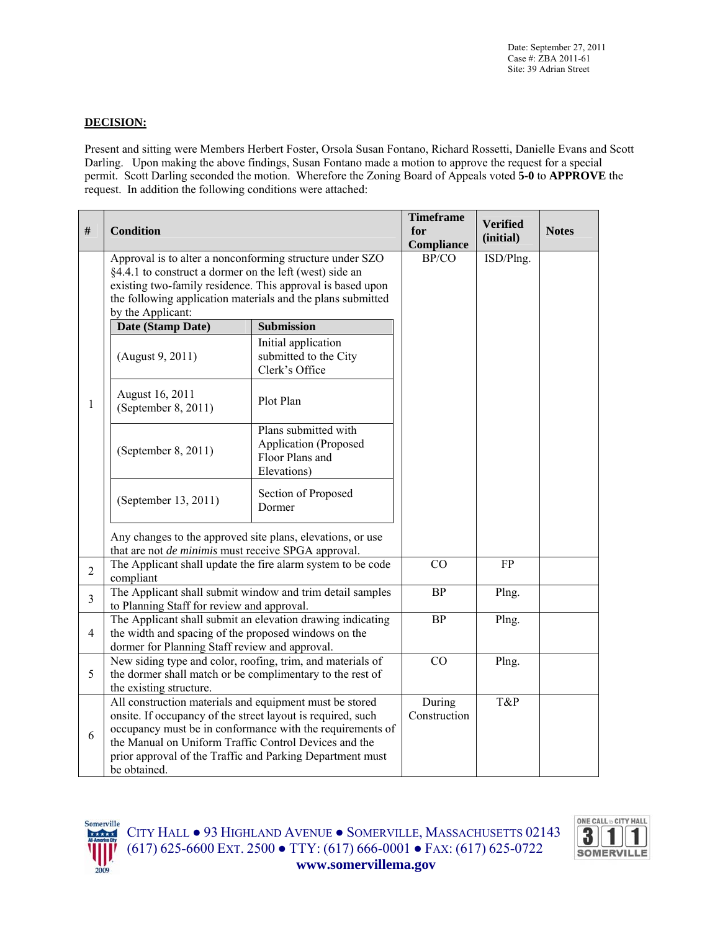## **DECISION:**

Present and sitting were Members Herbert Foster, Orsola Susan Fontano, Richard Rossetti, Danielle Evans and Scott Darling. Upon making the above findings, Susan Fontano made a motion to approve the request for a special permit. Scott Darling seconded the motion. Wherefore the Zoning Board of Appeals voted **5-0** to **APPROVE** the request. In addition the following conditions were attached:

| #              | <b>Condition</b>                                                                                                                                                                                                                                             |                                                                                                                           | <b>Timeframe</b><br>for<br>Compliance | <b>Verified</b><br>(initial) | <b>Notes</b> |
|----------------|--------------------------------------------------------------------------------------------------------------------------------------------------------------------------------------------------------------------------------------------------------------|---------------------------------------------------------------------------------------------------------------------------|---------------------------------------|------------------------------|--------------|
|                | Approval is to alter a nonconforming structure under SZO<br>§4.4.1 to construct a dormer on the left (west) side an<br>by the Applicant:                                                                                                                     | existing two-family residence. This approval is based upon<br>the following application materials and the plans submitted | BP/CO                                 | ISD/Plng.                    |              |
|                | Date (Stamp Date)                                                                                                                                                                                                                                            | <b>Submission</b>                                                                                                         |                                       |                              |              |
|                | (August 9, 2011)                                                                                                                                                                                                                                             | Initial application<br>submitted to the City<br>Clerk's Office                                                            |                                       |                              |              |
| 1              | August 16, 2011<br>(September 8, 2011)                                                                                                                                                                                                                       | Plot Plan                                                                                                                 |                                       |                              |              |
|                | (September 8, 2011)                                                                                                                                                                                                                                          | Plans submitted with<br><b>Application</b> (Proposed<br>Floor Plans and<br>Elevations)                                    |                                       |                              |              |
|                | (September 13, 2011)                                                                                                                                                                                                                                         | Section of Proposed<br>Dormer                                                                                             |                                       |                              |              |
|                | Any changes to the approved site plans, elevations, or use<br>that are not <i>de minimis</i> must receive SPGA approval.                                                                                                                                     |                                                                                                                           |                                       |                              |              |
| $\overline{2}$ | compliant                                                                                                                                                                                                                                                    | The Applicant shall update the fire alarm system to be code                                                               | CO                                    | FP                           |              |
| $\overline{3}$ | to Planning Staff for review and approval.                                                                                                                                                                                                                   | The Applicant shall submit window and trim detail samples                                                                 | <b>BP</b>                             | Plng.                        |              |
| 4              | the width and spacing of the proposed windows on the<br>dormer for Planning Staff review and approval.                                                                                                                                                       | The Applicant shall submit an elevation drawing indicating                                                                | <b>BP</b>                             | Plng.                        |              |
| 5              | New siding type and color, roofing, trim, and materials of<br>the dormer shall match or be complimentary to the rest of<br>the existing structure.                                                                                                           |                                                                                                                           | CO                                    | Plng.                        |              |
| 6              | All construction materials and equipment must be stored<br>onsite. If occupancy of the street layout is required, such<br>the Manual on Uniform Traffic Control Devices and the<br>prior approval of the Traffic and Parking Department must<br>be obtained. | occupancy must be in conformance with the requirements of                                                                 | During<br>Construction                | T&P                          |              |



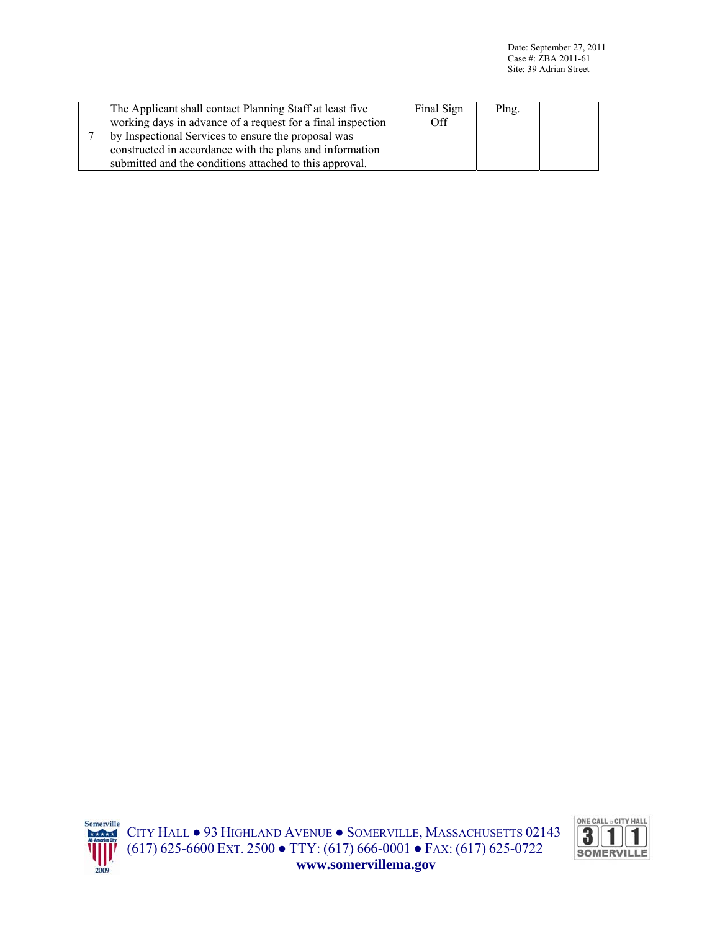|  | The Applicant shall contact Planning Staff at least five    | Final Sign | Plng. |  |
|--|-------------------------------------------------------------|------------|-------|--|
|  | working days in advance of a request for a final inspection | Off        |       |  |
|  | by Inspectional Services to ensure the proposal was         |            |       |  |
|  | constructed in accordance with the plans and information    |            |       |  |
|  | submitted and the conditions attached to this approval.     |            |       |  |